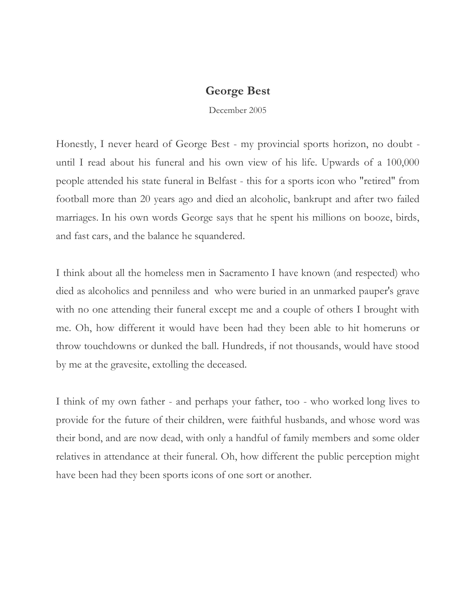## **George Best**

December 2005

Honestly, I never heard of George Best - my provincial sports horizon, no doubt until I read about his funeral and his own view of his life. Upwards of a 100,000 people attended his state funeral in Belfast - this for a sports icon who "retired" from football more than 20 years ago and died an alcoholic, bankrupt and after two failed marriages. In his own words George says that he spent his millions on booze, birds, and fast cars, and the balance he squandered.

I think about all the homeless men in Sacramento I have known (and respected) who died as alcoholics and penniless and who were buried in an unmarked pauper's grave with no one attending their funeral except me and a couple of others I brought with me. Oh, how different it would have been had they been able to hit homeruns or throw touchdowns or dunked the ball. Hundreds, if not thousands, would have stood by me at the gravesite, extolling the deceased.

I think of my own father - and perhaps your father, too - who worked long lives to provide for the future of their children, were faithful husbands, and whose word was their bond, and are now dead, with only a handful of family members and some older relatives in attendance at their funeral. Oh, how different the public perception might have been had they been sports icons of one sort or another.